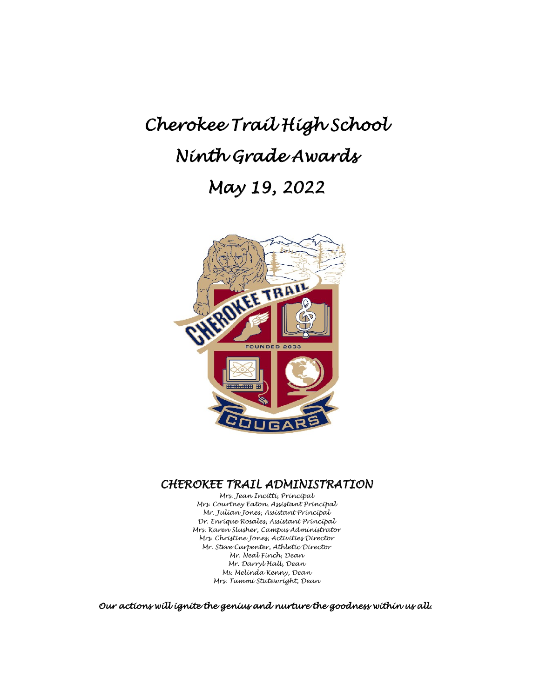# *Cherokee Trail High School Ninth Grade Awards May 19, 2022*



# *CHEROKEE TRAIL ADMINISTRATION Mrs. Jean Incitti, Principal*

*Mrs. Courtney Eaton, Assistant Principal Mr. Julian Jones, Assistant Principal Dr. Enrique Rosales, Assistant Principal Mrs. Karen Slusher, Campus Administrator Mrs. Christine Jones, Activities Director Mr. Steve Carpenter, Athletic Director Mr. Neal Finch, Dean Mr. Darryl Hall, Dean Ms. Melinda Kenny, Dean Mrs. Tammi Statewright, Dean*

*Our actions will ignite the genius and nurture the goodness within us all.*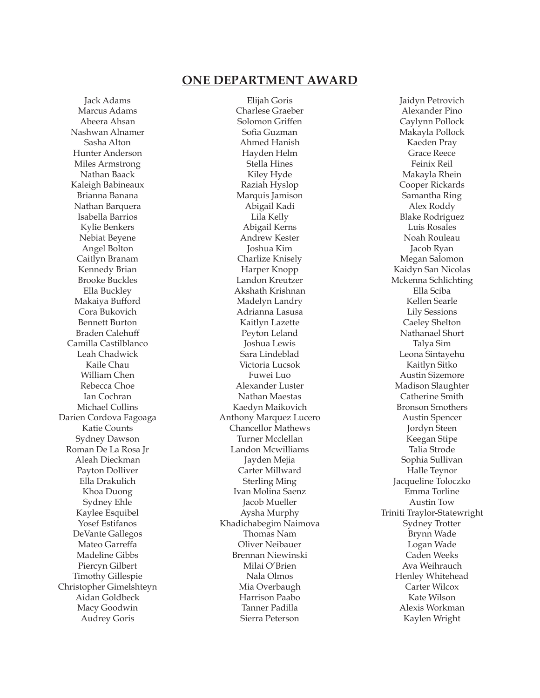# **ONE DEPARTMENT AWARD**

Jack Adams Marcus Adams Abeera Ahsan Nashwan Alnamer Sasha Alton Hunter Anderson Miles Armstrong Nathan Baack Kaleigh Babineaux Brianna Banana Nathan Barquera Isabella Barrios Kylie Benkers Nebiat Beyene Angel Bolton Caitlyn Branam Kennedy Brian Brooke Buckles Ella Buckley Makaiya Bufford Cora Bukovich Bennett Burton Braden Calehuff Camilla Castilblanco Leah Chadwick Kaile Chau William Chen Rebecca Choe Ian Cochran Michael Collins Darien Cordova Fagoaga Katie Counts Sydney Dawson Roman De La Rosa Jr Aleah Dieckman Payton Dolliver Ella Drakulich Khoa Duong Sydney Ehle Kaylee Esquibel Yosef Estifanos DeVante Gallegos Mateo Garreffa Madeline Gibbs Piercyn Gilbert Timothy Gillespie Christopher Gimelshteyn Aidan Goldbeck Macy Goodwin Audrey Goris

Elijah Goris Charlese Graeber Solomon Griffen Sofia Guzman Ahmed Hanish Hayden Helm Stella Hines Kiley Hyde Raziah Hyslop Marquis Jamison Abigail Kadi Lila Kelly Abigail Kerns Andrew Kester Joshua Kim Charlize Knisely Harper Knopp Landon Kreutzer Akshath Krishnan Madelyn Landry Adrianna Lasusa Kaitlyn Lazette Peyton Leland Joshua Lewis Sara Lindeblad Victoria Lucsok Fuwei Luo Alexander Luster Nathan Maestas Kaedyn Maikovich Anthony Marquez Lucero Chancellor Mathews Turner Mcclellan Landon Mcwilliams Jayden Mejia Carter Millward Sterling Ming Ivan Molina Saenz Jacob Mueller Aysha Murphy Khadichabegim Naimova Thomas Nam Oliver Neibauer Brennan Niewinski Milai O'Brien Nala Olmos Mia Overbaugh Harrison Paabo Tanner Padilla Sierra Peterson

Jaidyn Petrovich Alexander Pino Caylynn Pollock Makayla Pollock Kaeden Pray Grace Reece Feinix Reil Makayla Rhein Cooper Rickards Samantha Ring Alex Roddy Blake Rodriguez Luis Rosales Noah Rouleau Jacob Ryan Megan Salomon Kaidyn San Nicolas Mckenna Schlichting Ella Sciba Kellen Searle Lily Sessions Caeley Shelton Nathanael Short Talya Sim Leona Sintayehu Kaitlyn Sitko Austin Sizemore Madison Slaughter Catherine Smith Bronson Smothers Austin Spencer Jordyn Steen Keegan Stipe Talia Strode Sophia Sullivan Halle Teynor Jacqueline Toloczko Emma Torline Austin Tow Triniti Traylor-Statewright Sydney Trotter Brynn Wade Logan Wade Caden Weeks Ava Weihrauch Henley Whitehead Carter Wilcox Kate Wilson Alexis Workman Kaylen Wright